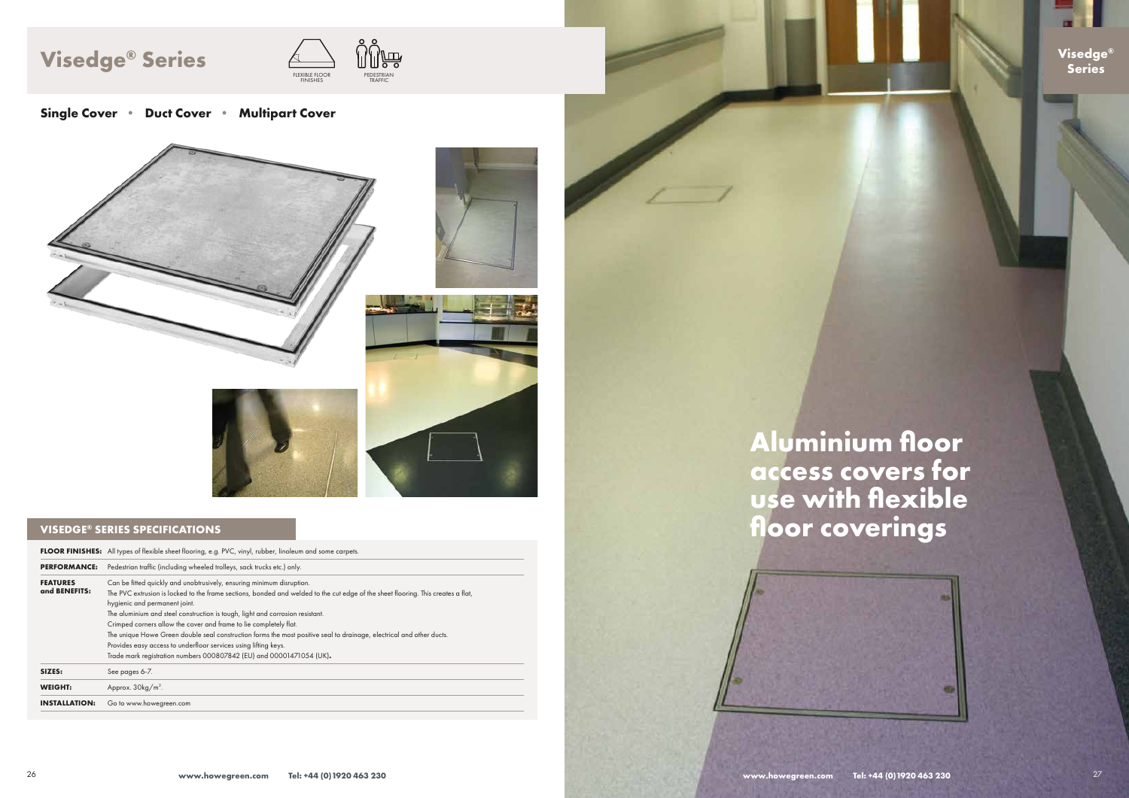### **VISEDGE® SERIES SPECIFICATIONS**

|                                  | <b>FLOOR FINISHES:</b> All types of flexible sheet flooring, e.g. PVC, vinyl, rubber, linoleum and some carpets.                                                                                                                                                                                                                                                                                                                                                                                                                                                                                                                                                    |  |  |
|----------------------------------|---------------------------------------------------------------------------------------------------------------------------------------------------------------------------------------------------------------------------------------------------------------------------------------------------------------------------------------------------------------------------------------------------------------------------------------------------------------------------------------------------------------------------------------------------------------------------------------------------------------------------------------------------------------------|--|--|
| <b>PERFORMANCE:</b>              | Pedestrian traffic (including wheeled trolleys, sack trucks etc.) only.                                                                                                                                                                                                                                                                                                                                                                                                                                                                                                                                                                                             |  |  |
| <b>FEATURES</b><br>and BENEFITS: | Can be fitted quickly and unobtrusively, ensuring minimum disruption.<br>The PVC extrusion is locked to the frame sections, bonded and welded to the cut edge of the sheet flooring. This creates a flat,<br>hygienic and permanent joint.<br>The aluminium and steel construction is tough, light and corrosion resistant.<br>Crimped corners allow the cover and frame to lie completely flat.<br>The unique Howe Green double seal construction forms the most positive seal to drainage, electrical and other ducts.<br>Provides easy access to underfloor services using lifting keys.<br>Trade mark registration numbers 000807842 (EU) and 00001471054 (UK). |  |  |
| SIZES:                           | See pages 6-7.                                                                                                                                                                                                                                                                                                                                                                                                                                                                                                                                                                                                                                                      |  |  |
| <b>WEIGHT:</b>                   | Approx. $30\text{kg/m}^2$ .                                                                                                                                                                                                                                                                                                                                                                                                                                                                                                                                                                                                                                         |  |  |
| <b>INSTALLATION:</b>             | Go to www.howegreen.com                                                                                                                                                                                                                                                                                                                                                                                                                                                                                                                                                                                                                                             |  |  |

# **Aluminium floor access covers for use with flexible floor coverings**







# **Visedge Series ® Series**



**Single Cover • Duct Cover • Multipart Cover**



**www.howegreen.com Tel: +44 (0)1920 463 230**